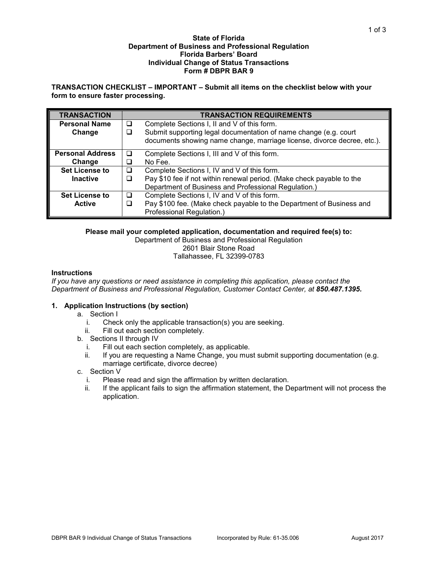#### **State of Florida Department of Business and Professional Regulation Florida Barbers' Board Individual Change of Status Transactions Form # DBPR BAR 9**

# **TRANSACTION CHECKLIST – IMPORTANT – Submit all items on the checklist below with your form to ensure faster processing.**

| <b>TRANSACTION</b>      | <b>TRANSACTION REQUIREMENTS</b> |                                                                         |  |
|-------------------------|---------------------------------|-------------------------------------------------------------------------|--|
| <b>Personal Name</b>    | □                               | Complete Sections I, II and V of this form.                             |  |
| Change                  | □                               | Submit supporting legal documentation of name change (e.g. court        |  |
|                         |                                 | documents showing name change, marriage license, divorce decree, etc.). |  |
| <b>Personal Address</b> | ப                               | Complete Sections I, III and V of this form.                            |  |
| Change                  | $\Box$                          | No Fee.                                                                 |  |
| <b>Set License to</b>   | □                               | Complete Sections I, IV and V of this form.                             |  |
| <b>Inactive</b>         |                                 | Pay \$10 fee if not within renewal period. (Make check payable to the   |  |
|                         |                                 | Department of Business and Professional Regulation.)                    |  |
| <b>Set License to</b>   | ◻                               | Complete Sections I, IV and V of this form.                             |  |
| <b>Active</b>           |                                 | Pay \$100 fee. (Make check payable to the Department of Business and    |  |
|                         |                                 | Professional Regulation.)                                               |  |

### **Please mail your completed application, documentation and required fee(s) to:**

Department of Business and Professional Regulation 2601 Blair Stone Road Tallahassee, FL 32399-0783

#### **Instructions**

*If you have any questions or need assistance in completing this application, please contact the Department of Business and Professional Regulation, Customer Contact Center, at 850.487.1395.*

## **1. Application Instructions (by section)**

- a. Section I
	- i. Check only the applicable transaction(s) you are seeking.
	- ii. Fill out each section completely.
- b. Sections II through IV
	- i. Fill out each section completely, as applicable.<br>ii. If you are requesting a Name Change, you mus
	- If you are requesting a Name Change, you must submit supporting documentation (e.g. marriage certificate, divorce decree)
- c. Section V
	- i. Please read and sign the affirmation by written declaration.
	- ii. If the applicant fails to sign the affirmation statement, the Department will not process the application.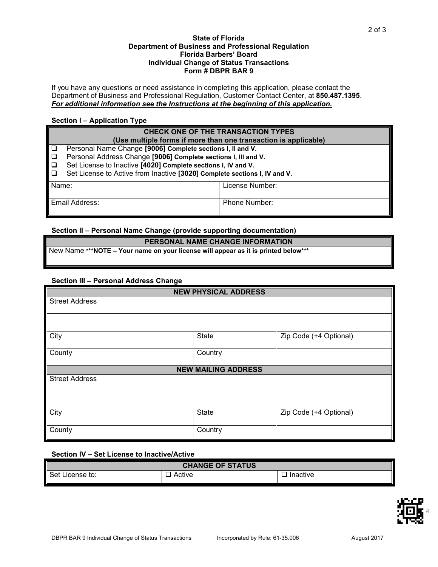#### **State of Florida Department of Business and Professional Regulation Florida Barbers' Board Individual Change of Status Transactions Form # DBPR BAR 9**

If you have any questions or need assistance in completing this application, please contact the Department of Business and Professional Regulation, Customer Contact Center, at **850.487.1395**. *For additional information see the Instructions at the beginning of this application.*

# **Section I – Application Type**

| <b>CHECK ONE OF THE TRANSACTION TYPES</b><br>(Use multiple forms if more than one transaction is applicable) |                                                                                                                                                                                                                                                                            |                 |  |  |  |  |
|--------------------------------------------------------------------------------------------------------------|----------------------------------------------------------------------------------------------------------------------------------------------------------------------------------------------------------------------------------------------------------------------------|-----------------|--|--|--|--|
| <b>D</b><br>$\Box$<br>l □<br>$\Box$                                                                          | Personal Name Change [9006] Complete sections I, II and V.<br>Personal Address Change [9006] Complete sections I, III and V.<br>Set License to Inactive [4020] Complete sections I, IV and V.<br>Set License to Active from Inactive [3020] Complete sections I, IV and V. |                 |  |  |  |  |
| Name:                                                                                                        |                                                                                                                                                                                                                                                                            | License Number: |  |  |  |  |
| Email Address:                                                                                               |                                                                                                                                                                                                                                                                            | Phone Number:   |  |  |  |  |

# **Section II – Personal Name Change (provide supporting documentation)**

## **PERSONAL NAME CHANGE INFORMATION**

New Name **\*\*\*NOTE – Your name on your license will appear as it is printed below\*\*\***

## **Section III – Personal Address Change**

| <b>NEW PHYSICAL ADDRESS</b> |              |                        |  |  |  |  |
|-----------------------------|--------------|------------------------|--|--|--|--|
| <b>Street Address</b>       |              |                        |  |  |  |  |
|                             |              |                        |  |  |  |  |
|                             |              |                        |  |  |  |  |
| City                        | <b>State</b> | Zip Code (+4 Optional) |  |  |  |  |
| County                      | Country      |                        |  |  |  |  |
| <b>NEW MAILING ADDRESS</b>  |              |                        |  |  |  |  |
| <b>Street Address</b>       |              |                        |  |  |  |  |
|                             |              |                        |  |  |  |  |
| City                        | <b>State</b> | Zip Code (+4 Optional) |  |  |  |  |
| County                      | Country      |                        |  |  |  |  |

## **Section IV – Set License to Inactive/Active**

| <b>CHANGE OF STATUS</b> |        |          |  |  |  |
|-------------------------|--------|----------|--|--|--|
| Set Li<br>License to:   | Active | Inactive |  |  |  |